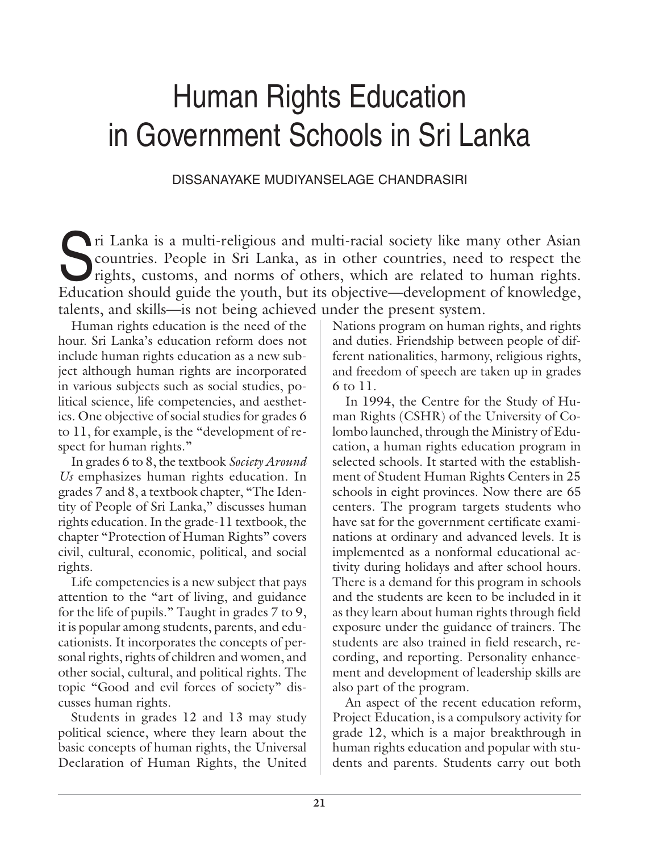# Human Rights Education in Government Schools in Sri Lanka

DISSANAYAKE MUDIYANSELAGE CHANDRASIRI

In Lanka is a multi-religious and multi-racial society like many other Asian<br>countries. People in Sri Lanka, as in other countries, need to respect the<br>rights, customs, and norms of others, which are related to human right countries. People in Sri Lanka, as in other countries, need to respect the Education should guide the youth, but its objective—development of knowledge, talents, and skills—is not being achieved under the present system.

Human rights education is the need of the hour. Sri Lanka's education reform does not include human rights education as a new subject although human rights are incorporated in various subjects such as social studies, political science, life competencies, and aesthetics. One objective of social studies for grades 6 to 11, for example, is the "development of respect for human rights."

In grades 6 to 8, the textbook *Society Around Us* emphasizes human rights education. In grades 7 and 8, a textbook chapter, "The Identity of People of Sri Lanka," discusses human rights education. In the grade-11 textbook, the chapter "Protection of Human Rights" covers civil, cultural, economic, political, and social rights.

Life competencies is a new subject that pays attention to the "art of living, and guidance for the life of pupils." Taught in grades 7 to 9, it is popular among students, parents, and educationists. It incorporates the concepts of personal rights, rights of children and women, and other social, cultural, and political rights. The topic "Good and evil forces of society" discusses human rights.

Students in grades 12 and 13 may study political science, where they learn about the basic concepts of human rights, the Universal Declaration of Human Rights, the United Nations program on human rights, and rights and duties. Friendship between people of different nationalities, harmony, religious rights, and freedom of speech are taken up in grades 6 to 11.

In 1994, the Centre for the Study of Human Rights (CSHR) of the University of Colombo launched, through the Ministry of Education, a human rights education program in selected schools. It started with the establishment of Student Human Rights Centers in 25 schools in eight provinces. Now there are 65 centers. The program targets students who have sat for the government certificate examinations at ordinary and advanced levels. It is implemented as a nonformal educational activity during holidays and after school hours. There is a demand for this program in schools and the students are keen to be included in it as they learn about human rights through field exposure under the guidance of trainers. The students are also trained in field research, recording, and reporting. Personality enhancement and development of leadership skills are also part of the program.

An aspect of the recent education reform, Project Education, is a compulsory activity for grade 12, which is a major breakthrough in human rights education and popular with students and parents. Students carry out both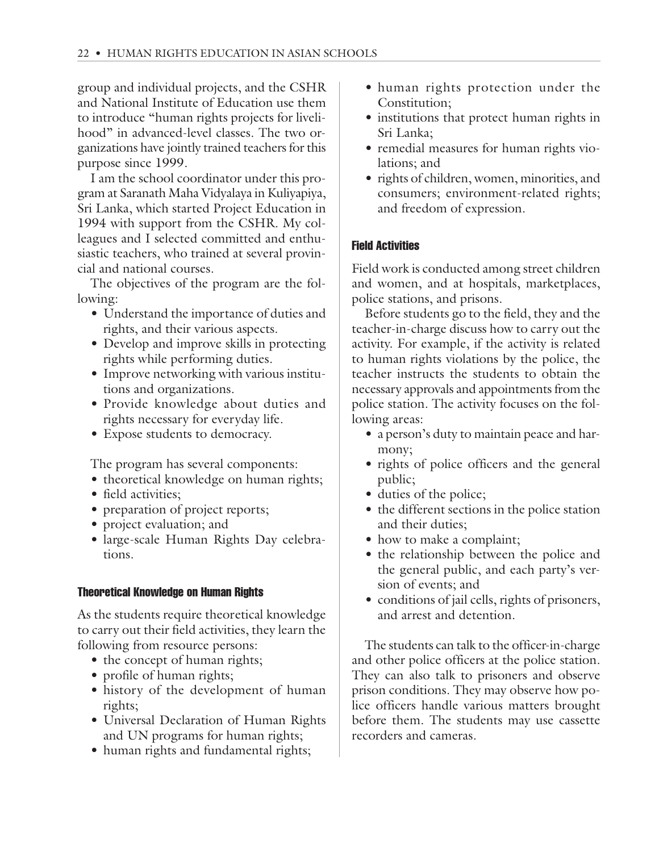group and individual projects, and the CSHR and National Institute of Education use them to introduce "human rights projects for livelihood" in advanced-level classes. The two organizations have jointly trained teachers for this purpose since 1999.

I am the school coordinator under this program at Saranath Maha Vidyalaya in Kuliyapiya, Sri Lanka, which started Project Education in 1994 with support from the CSHR. My colleagues and I selected committed and enthusiastic teachers, who trained at several provincial and national courses.

The objectives of the program are the following:

- Understand the importance of duties and rights, and their various aspects.
- Develop and improve skills in protecting rights while performing duties.
- Improve networking with various institutions and organizations.
- Provide knowledge about duties and rights necessary for everyday life.
- Expose students to democracy.

The program has several components:

- theoretical knowledge on human rights;
- field activities;
- preparation of project reports;
- project evaluation; and
- large-scale Human Rights Day celebrations.

## Theoretical Knowledge on Human Rights

As the students require theoretical knowledge to carry out their field activities, they learn the following from resource persons:

- the concept of human rights;
- profile of human rights;
- history of the development of human rights;
- Universal Declaration of Human Rights and UN programs for human rights;
- human rights and fundamental rights;
- human rights protection under the Constitution;
- institutions that protect human rights in Sri Lanka;
- remedial measures for human rights violations; and
- rights of children, women, minorities, and consumers; environment-related rights; and freedom of expression.

# Field Activities

Field work is conducted among street children and women, and at hospitals, marketplaces, police stations, and prisons.

Before students go to the field, they and the teacher-in-charge discuss how to carry out the activity. For example, if the activity is related to human rights violations by the police, the teacher instructs the students to obtain the necessary approvals and appointments from the police station. The activity focuses on the following areas:

- a person's duty to maintain peace and harmony;
- rights of police officers and the general public;
- duties of the police;
- the different sections in the police station and their duties;
- how to make a complaint;
- the relationship between the police and the general public, and each party's version of events; and
- conditions of jail cells, rights of prisoners, and arrest and detention.

The students can talk to the officer-in-charge and other police officers at the police station. They can also talk to prisoners and observe prison conditions. They may observe how police officers handle various matters brought before them. The students may use cassette recorders and cameras.